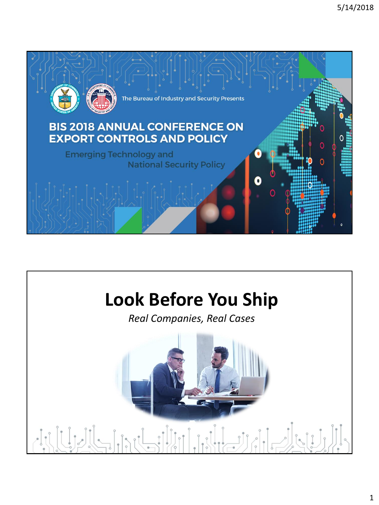

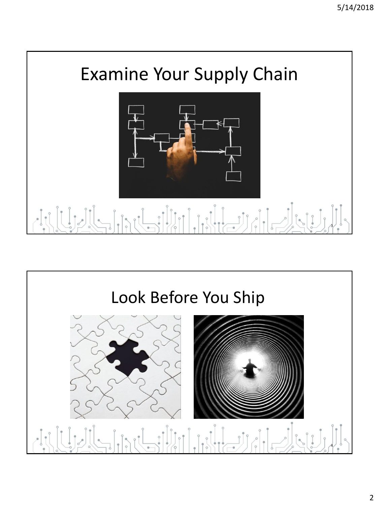

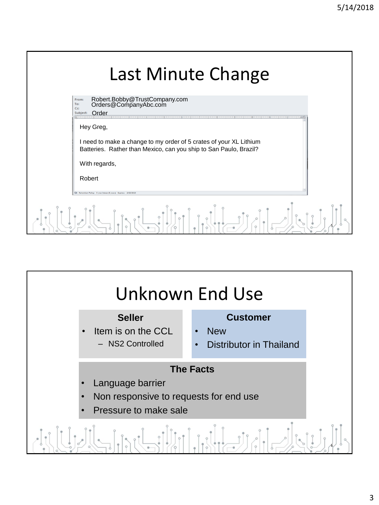|         | Last Minute Change                                                                                                                      |
|---------|-----------------------------------------------------------------------------------------------------------------------------------------|
|         | Robert.Bobby@TrustCompany.com<br>Orders@CompanyAbc.com<br>From:<br>To:<br>C <sub>C</sub><br>Order<br>Subject:                           |
|         | Hey Greg,                                                                                                                               |
|         | I need to make a change to my order of 5 crates of your XL Lithium<br>Batteries. Rather than Mexico, can you ship to San Paulo, Brazil? |
|         | With regards,                                                                                                                           |
|         | Robert                                                                                                                                  |
|         | Retention Policy: 5 year Inbox (5 years) Expires: 2/22/2023                                                                             |
| $\circ$ |                                                                                                                                         |

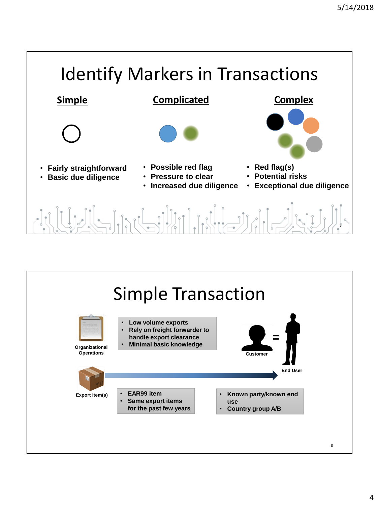

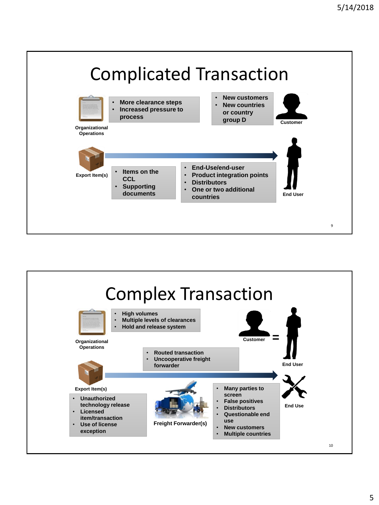

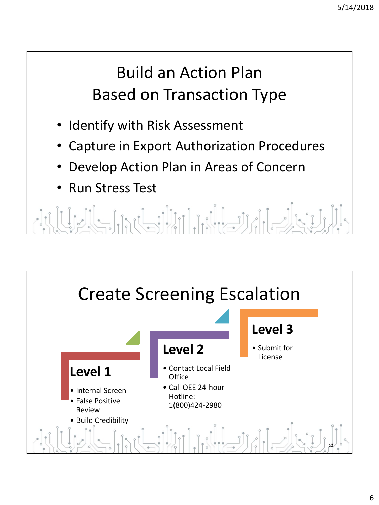#### Build an Action Plan Based on Transaction Type

- Identify with Risk Assessment
- Capture in Export Authorization Procedures
- Develop Action Plan in Areas of Concern
- Run Stress Test

<u> Edicion de la propiedad de la propiedad de la propiedad de la propiedad de la propiedad de la propiedad de la</u> 11

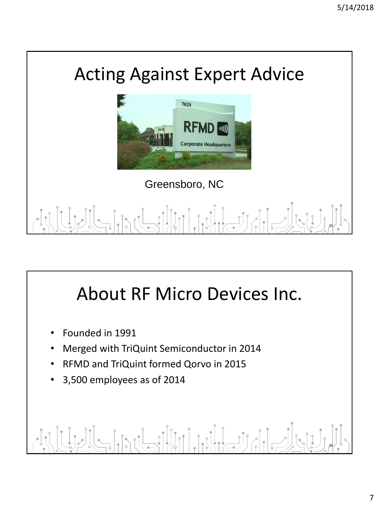



Greensboro, NC

#### $\left| \bigcup_{i=1}^{n} \right|$ 13

## About RF Micro Devices Inc.

- Founded in 1991
- Merged with TriQuint Semiconductor in 2014
- RFMD and TriQuint formed Qorvo in 2015
- 3,500 employees as of 2014

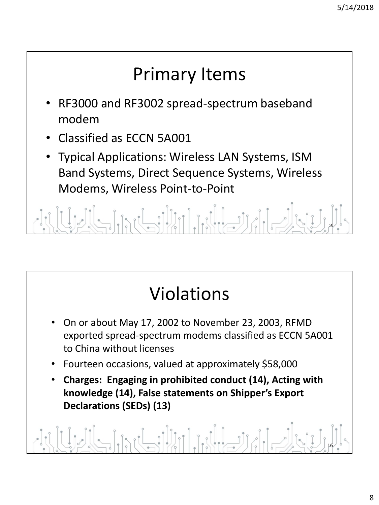## Primary Items

- RF3000 and RF3002 spread-spectrum baseband modem
- Classified as ECCN 5A001
- Typical Applications: Wireless LAN Systems, ISM Band Systems, Direct Sequence Systems, Wireless Modems, Wireless Point-to-Point

pul illul ideal dich 15

# Violations

- On or about May 17, 2002 to November 23, 2003, RFMD exported spread-spectrum modems classified as ECCN 5A001 to China without licenses
- Fourteen occasions, valued at approximately \$58,000
- **Charges: Engaging in prohibited conduct (14), Acting with knowledge (14), False statements on Shipper's Export Declarations (SEDs) (13)**

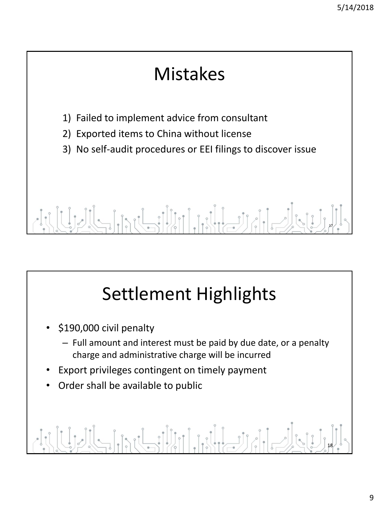#### Mistakes

- 1) Failed to implement advice from consultant
- 2) Exported items to China without license
- 3) No self-audit procedures or EEI filings to discover issue

#### rusibilita 17

# Settlement Highlights

- \$190,000 civil penalty
	- Full amount and interest must be paid by due date, or a penalty charge and administrative charge will be incurred
- Export privileges contingent on timely payment
- Order shall be available to public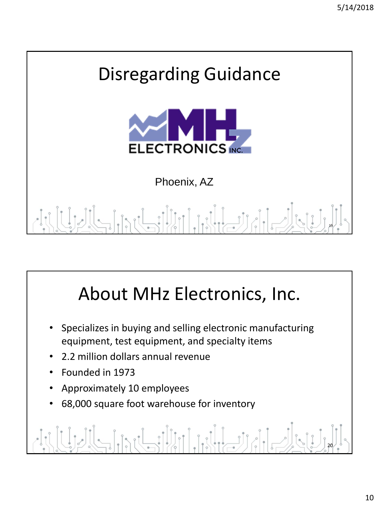

## About MHz Electronics, Inc.

- Specializes in buying and selling electronic manufacturing equipment, test equipment, and specialty items
- 2.2 million dollars annual revenue
- Founded in 1973
- Approximately 10 employees
- 68,000 square foot warehouse for inventory

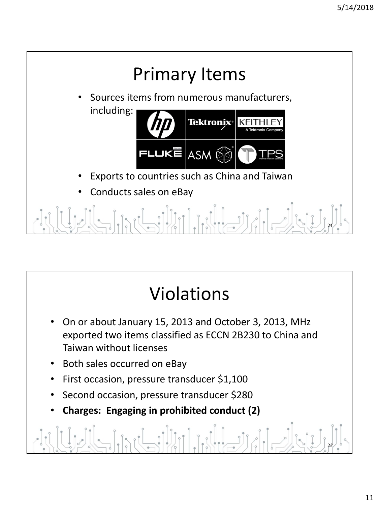

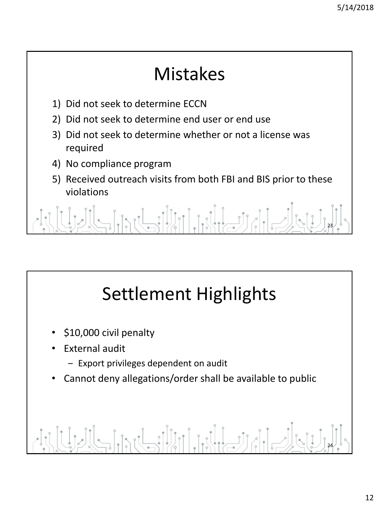#### Mistakes

- 1) Did not seek to determine ECCN
- 2) Did not seek to determine end user or end use
- 3) Did not seek to determine whether or not a license was required
- 4) No compliance program
- 5) Received outreach visits from both FBI and BIS prior to these violations

 $\left[\left[\left(1,1\right)\right]\right]$ 23

# Settlement Highlights

- \$10,000 civil penalty
- External audit
	- Export privileges dependent on audit
- Cannot deny allegations/order shall be available to public

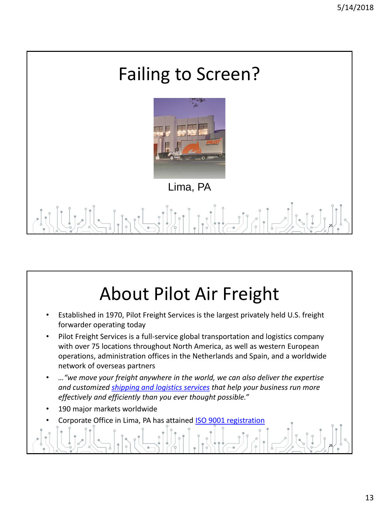

## About Pilot Air Freight

- Established in 1970, Pilot Freight Services is the largest privately held U.S. freight forwarder operating today
- Pilot Freight Services is a full-service global transportation and logistics company with over 75 locations throughout North America, as well as western European operations, administration offices in the Netherlands and Spain, and a worldwide network of overseas partners
- *…"we move your freight anywhere in the world, we can also deliver the expertise and customized [shipping and logistics services](http://www.pilotdelivers.com/freight-shipping-services/default.aspx) that help your business run more effectively and efficiently than you ever thought possible."*
- 190 major markets worldwide
- Corporate Office in Lima, PA has attained [ISO 9001 registration](http://www.pilotdelivers.com/about-pilot-freight-services/commitment-to-quality/cerfitications.aspx)

26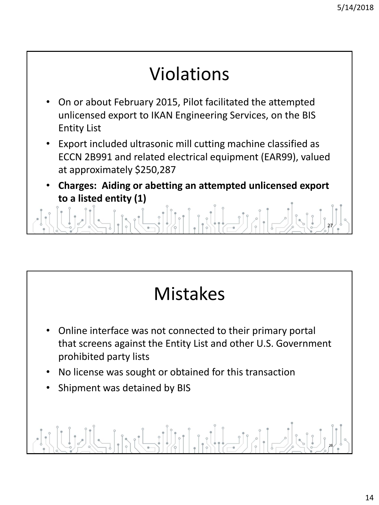#### 27 • On or about February 2015, Pilot facilitated the attempted unlicensed export to IKAN Engineering Services, on the BIS Entity List • Export included ultrasonic mill cutting machine classified as ECCN 2B991 and related electrical equipment (EAR99), valued at approximately \$250,287 • **Charges: Aiding or abetting an attempted unlicensed export to a listed entity (1)** Violations



- Online interface was not connected to their primary portal that screens against the Entity List and other U.S. Government prohibited party lists
- No license was sought or obtained for this transaction
- Shipment was detained by BIS